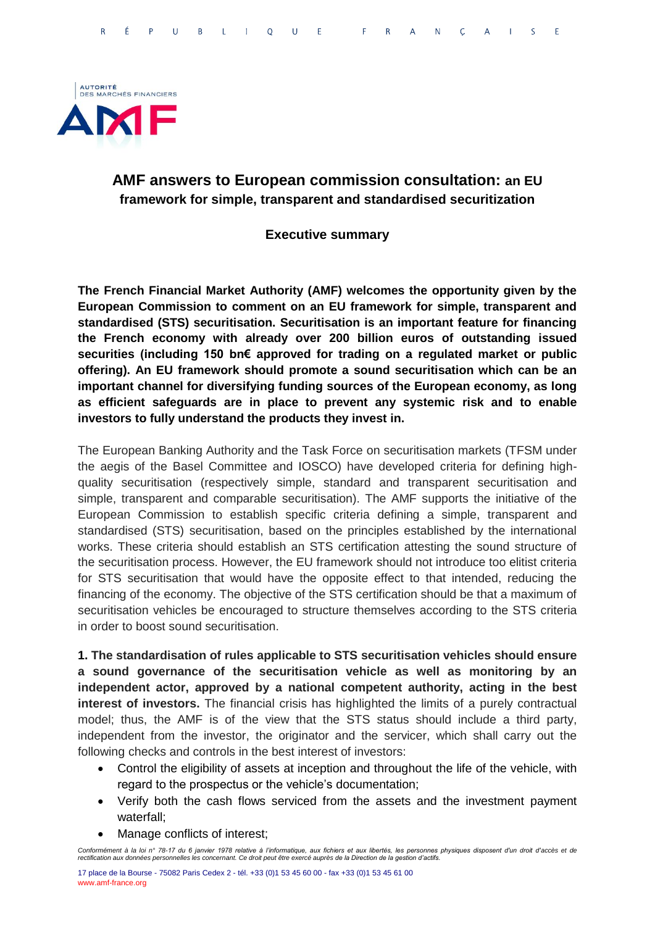

## **AMF answers to European commission consultation: an EU framework for simple, transparent and standardised securitization**

#### **Executive summary**

**The French Financial Market Authority (AMF) welcomes the opportunity given by the European Commission to comment on an EU framework for simple, transparent and standardised (STS) securitisation. Securitisation is an important feature for financing the French economy with already over 200 billion euros of outstanding issued securities (including 150 bn€ approved for trading on a regulated market or public offering). An EU framework should promote a sound securitisation which can be an important channel for diversifying funding sources of the European economy, as long as efficient safeguards are in place to prevent any systemic risk and to enable investors to fully understand the products they invest in.** 

The European Banking Authority and the Task Force on securitisation markets (TFSM under the aegis of the Basel Committee and IOSCO) have developed criteria for defining highquality securitisation (respectively simple, standard and transparent securitisation and simple, transparent and comparable securitisation). The AMF supports the initiative of the European Commission to establish specific criteria defining a simple, transparent and standardised (STS) securitisation, based on the principles established by the international works. These criteria should establish an STS certification attesting the sound structure of the securitisation process. However, the EU framework should not introduce too elitist criteria for STS securitisation that would have the opposite effect to that intended, reducing the financing of the economy. The objective of the STS certification should be that a maximum of securitisation vehicles be encouraged to structure themselves according to the STS criteria in order to boost sound securitisation.

**1. The standardisation of rules applicable to STS securitisation vehicles should ensure a sound governance of the securitisation vehicle as well as monitoring by an independent actor, approved by a national competent authority, acting in the best interest of investors.** The financial crisis has highlighted the limits of a purely contractual model; thus, the AMF is of the view that the STS status should include a third party, independent from the investor, the originator and the servicer, which shall carry out the following checks and controls in the best interest of investors:

- Control the eligibility of assets at inception and throughout the life of the vehicle, with regard to the prospectus or the vehicle's documentation;
- Verify both the cash flows serviced from the assets and the investment payment waterfall;
- Manage conflicts of interest;

*Conformément à la loi n° 78-17 du 6 janvier 1978 relative à l'informatique, aux fichiers et aux libertés, les personnes physiques disposent d'un droit d'accès et de rectification aux données personnelles les concernant. Ce droit peut être exercé auprès de la Direction de la gestion d'actifs.*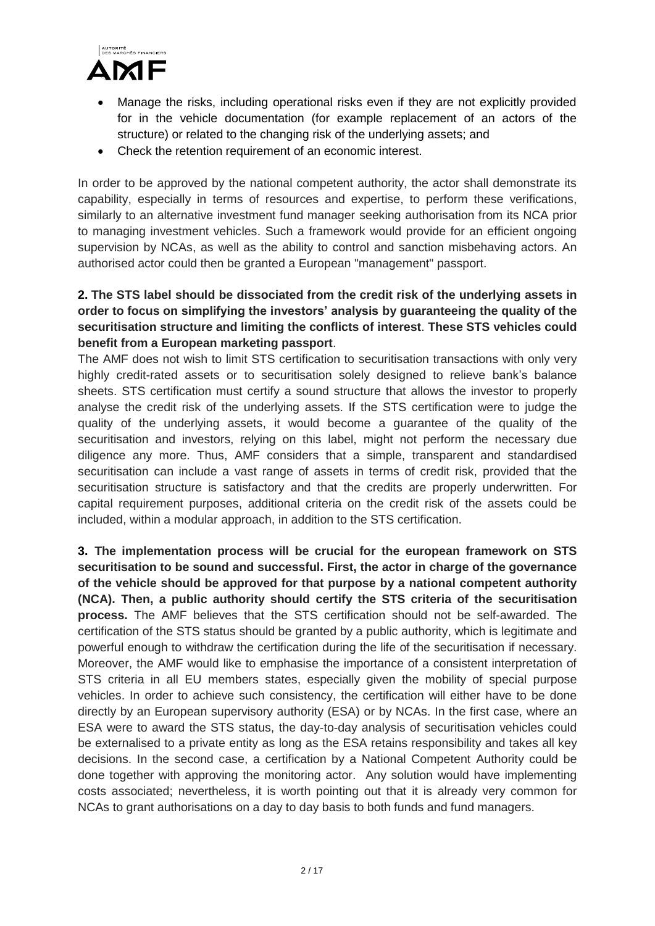

- Manage the risks, including operational risks even if they are not explicitly provided for in the vehicle documentation (for example replacement of an actors of the structure) or related to the changing risk of the underlying assets; and
- Check the retention requirement of an economic interest.

In order to be approved by the national competent authority, the actor shall demonstrate its capability, especially in terms of resources and expertise, to perform these verifications, similarly to an alternative investment fund manager seeking authorisation from its NCA prior to managing investment vehicles. Such a framework would provide for an efficient ongoing supervision by NCAs, as well as the ability to control and sanction misbehaving actors. An authorised actor could then be granted a European "management" passport.

### **2. The STS label should be dissociated from the credit risk of the underlying assets in order to focus on simplifying the investors' analysis by guaranteeing the quality of the securitisation structure and limiting the conflicts of interest**. **These STS vehicles could benefit from a European marketing passport**.

The AMF does not wish to limit STS certification to securitisation transactions with only very highly credit-rated assets or to securitisation solely designed to relieve bank's balance sheets. STS certification must certify a sound structure that allows the investor to properly analyse the credit risk of the underlying assets. If the STS certification were to judge the quality of the underlying assets, it would become a guarantee of the quality of the securitisation and investors, relying on this label, might not perform the necessary due diligence any more. Thus, AMF considers that a simple, transparent and standardised securitisation can include a vast range of assets in terms of credit risk, provided that the securitisation structure is satisfactory and that the credits are properly underwritten. For capital requirement purposes, additional criteria on the credit risk of the assets could be included, within a modular approach, in addition to the STS certification.

**3. The implementation process will be crucial for the european framework on STS securitisation to be sound and successful. First, the actor in charge of the governance of the vehicle should be approved for that purpose by a national competent authority (NCA). Then, a public authority should certify the STS criteria of the securitisation process.** The AMF believes that the STS certification should not be self-awarded. The certification of the STS status should be granted by a public authority, which is legitimate and powerful enough to withdraw the certification during the life of the securitisation if necessary. Moreover, the AMF would like to emphasise the importance of a consistent interpretation of STS criteria in all EU members states, especially given the mobility of special purpose vehicles. In order to achieve such consistency, the certification will either have to be done directly by an European supervisory authority (ESA) or by NCAs. In the first case, where an ESA were to award the STS status, the day-to-day analysis of securitisation vehicles could be externalised to a private entity as long as the ESA retains responsibility and takes all key decisions. In the second case, a certification by a National Competent Authority could be done together with approving the monitoring actor. Any solution would have implementing costs associated; nevertheless, it is worth pointing out that it is already very common for NCAs to grant authorisations on a day to day basis to both funds and fund managers.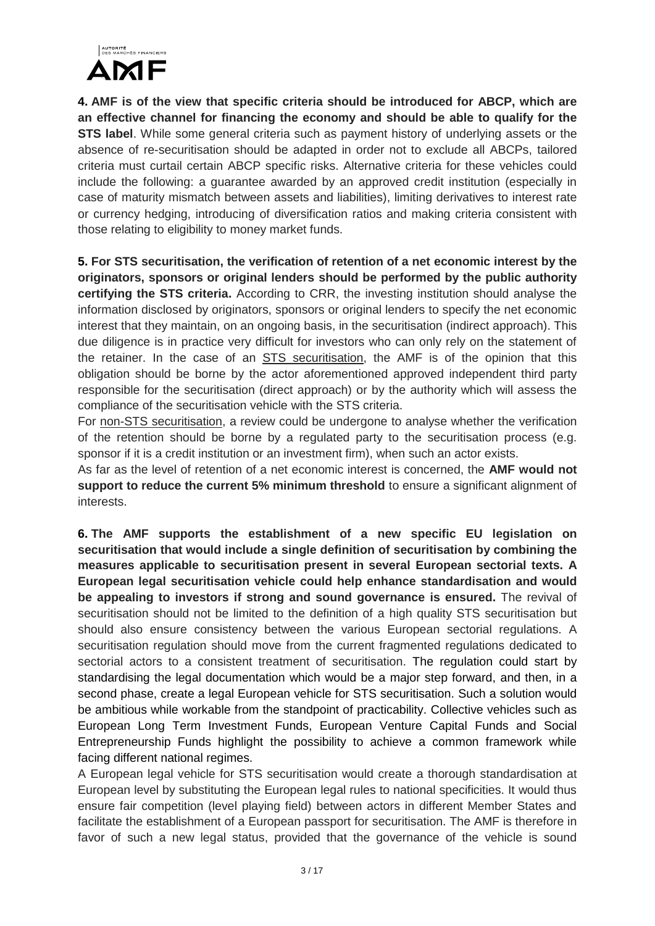

**4. AMF is of the view that specific criteria should be introduced for ABCP, which are an effective channel for financing the economy and should be able to qualify for the STS label**. While some general criteria such as payment history of underlying assets or the absence of re-securitisation should be adapted in order not to exclude all ABCPs, tailored criteria must curtail certain ABCP specific risks. Alternative criteria for these vehicles could include the following: a guarantee awarded by an approved credit institution (especially in case of maturity mismatch between assets and liabilities), limiting derivatives to interest rate or currency hedging, introducing of diversification ratios and making criteria consistent with those relating to eligibility to money market funds.

**5. For STS securitisation, the verification of retention of a net economic interest by the originators, sponsors or original lenders should be performed by the public authority certifying the STS criteria.** According to CRR, the investing institution should analyse the information disclosed by originators, sponsors or original lenders to specify the net economic interest that they maintain, on an ongoing basis, in the securitisation (indirect approach). This due diligence is in practice very difficult for investors who can only rely on the statement of the retainer. In the case of an STS securitisation, the AMF is of the opinion that this obligation should be borne by the actor aforementioned approved independent third party responsible for the securitisation (direct approach) or by the authority which will assess the compliance of the securitisation vehicle with the STS criteria.

For non-STS securitisation, a review could be undergone to analyse whether the verification of the retention should be borne by a regulated party to the securitisation process (e.g. sponsor if it is a credit institution or an investment firm), when such an actor exists.

As far as the level of retention of a net economic interest is concerned, the **AMF would not support to reduce the current 5% minimum threshold** to ensure a significant alignment of interests.

**6. The AMF supports the establishment of a new specific EU legislation on securitisation that would include a single definition of securitisation by combining the measures applicable to securitisation present in several European sectorial texts. A European legal securitisation vehicle could help enhance standardisation and would be appealing to investors if strong and sound governance is ensured.** The revival of securitisation should not be limited to the definition of a high quality STS securitisation but should also ensure consistency between the various European sectorial regulations. A securitisation regulation should move from the current fragmented regulations dedicated to sectorial actors to a consistent treatment of securitisation. The regulation could start by standardising the legal documentation which would be a major step forward, and then, in a second phase, create a legal European vehicle for STS securitisation. Such a solution would be ambitious while workable from the standpoint of practicability. Collective vehicles such as European Long Term Investment Funds, European Venture Capital Funds and Social Entrepreneurship Funds highlight the possibility to achieve a common framework while facing different national regimes.

A European legal vehicle for STS securitisation would create a thorough standardisation at European level by substituting the European legal rules to national specificities. It would thus ensure fair competition (level playing field) between actors in different Member States and facilitate the establishment of a European passport for securitisation. The AMF is therefore in favor of such a new legal status, provided that the governance of the vehicle is sound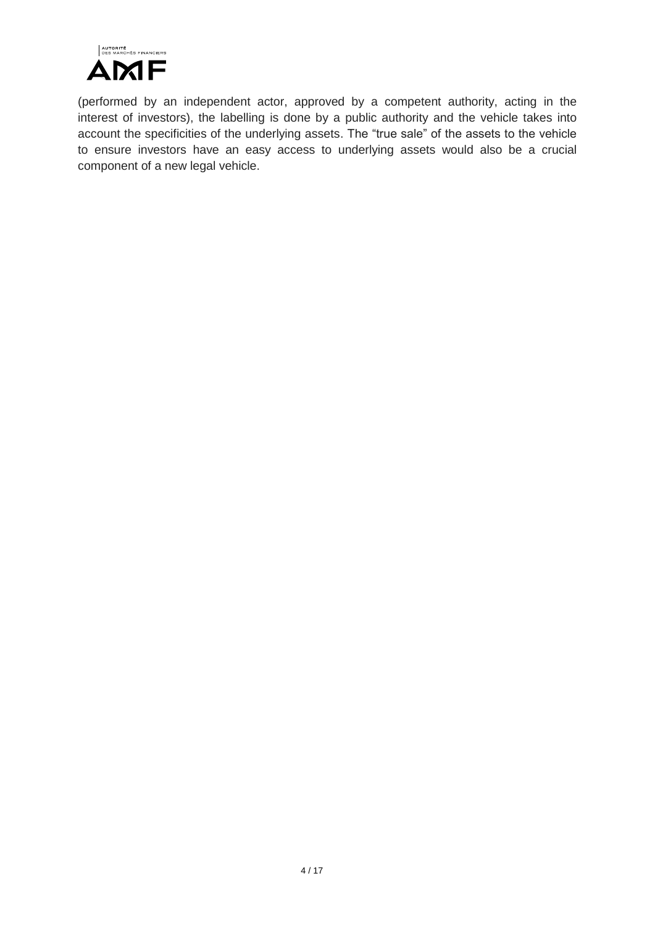

(performed by an independent actor, approved by a competent authority, acting in the interest of investors), the labelling is done by a public authority and the vehicle takes into account the specificities of the underlying assets. The "true sale" of the assets to the vehicle to ensure investors have an easy access to underlying assets would also be a crucial component of a new legal vehicle.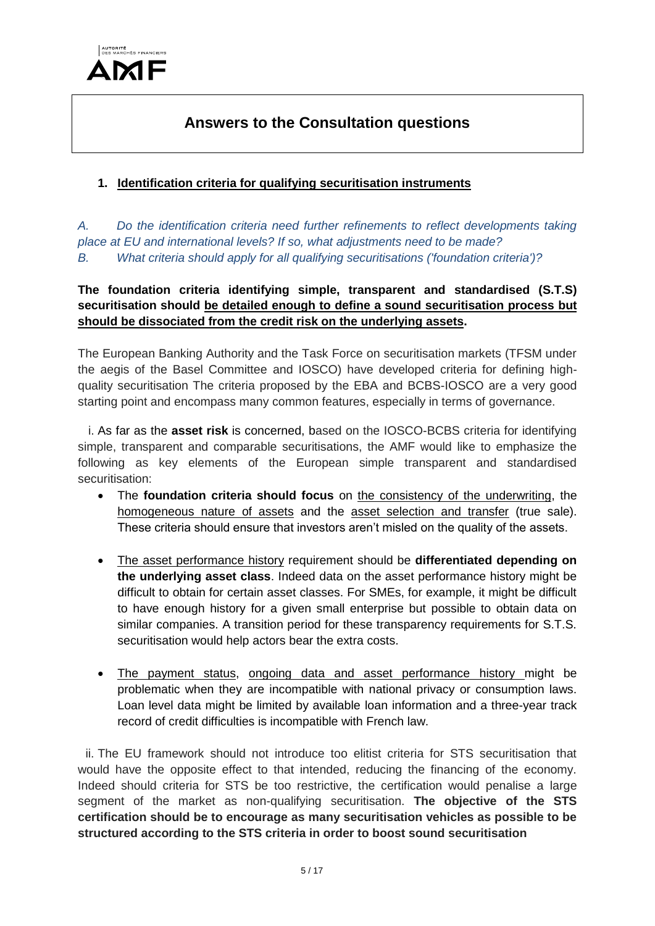

# **Answers to the Consultation questions**

## **1. Identification criteria for qualifying securitisation instruments**

*A. Do the identification criteria need further refinements to reflect developments taking place at EU and international levels? If so, what adjustments need to be made? B. What criteria should apply for all qualifying securitisations ('foundation criteria')?*

## **The foundation criteria identifying simple, transparent and standardised (S.T.S) securitisation should be detailed enough to define a sound securitisation process but should be dissociated from the credit risk on the underlying assets.**

The European Banking Authority and the Task Force on securitisation markets (TFSM under the aegis of the Basel Committee and IOSCO) have developed criteria for defining highquality securitisation The criteria proposed by the EBA and BCBS-IOSCO are a very good starting point and encompass many common features, especially in terms of governance.

i. As far as the **asset risk** is concerned, based on the IOSCO-BCBS criteria for identifying simple, transparent and comparable securitisations, the AMF would like to emphasize the following as key elements of the European simple transparent and standardised securitisation:

- The **foundation criteria should focus** on the consistency of the underwriting, the homogeneous nature of assets and the asset selection and transfer (true sale). These criteria should ensure that investors aren't misled on the quality of the assets.
- The asset performance history requirement should be **differentiated depending on the underlying asset class**. Indeed data on the asset performance history might be difficult to obtain for certain asset classes. For SMEs, for example, it might be difficult to have enough history for a given small enterprise but possible to obtain data on similar companies. A transition period for these transparency requirements for S.T.S. securitisation would help actors bear the extra costs.
- The payment status, ongoing data and asset performance history might be problematic when they are incompatible with national privacy or consumption laws. Loan level data might be limited by available loan information and a three-year track record of credit difficulties is incompatible with French law.

ii. The EU framework should not introduce too elitist criteria for STS securitisation that would have the opposite effect to that intended, reducing the financing of the economy. Indeed should criteria for STS be too restrictive, the certification would penalise a large segment of the market as non-qualifying securitisation. **The objective of the STS certification should be to encourage as many securitisation vehicles as possible to be structured according to the STS criteria in order to boost sound securitisation**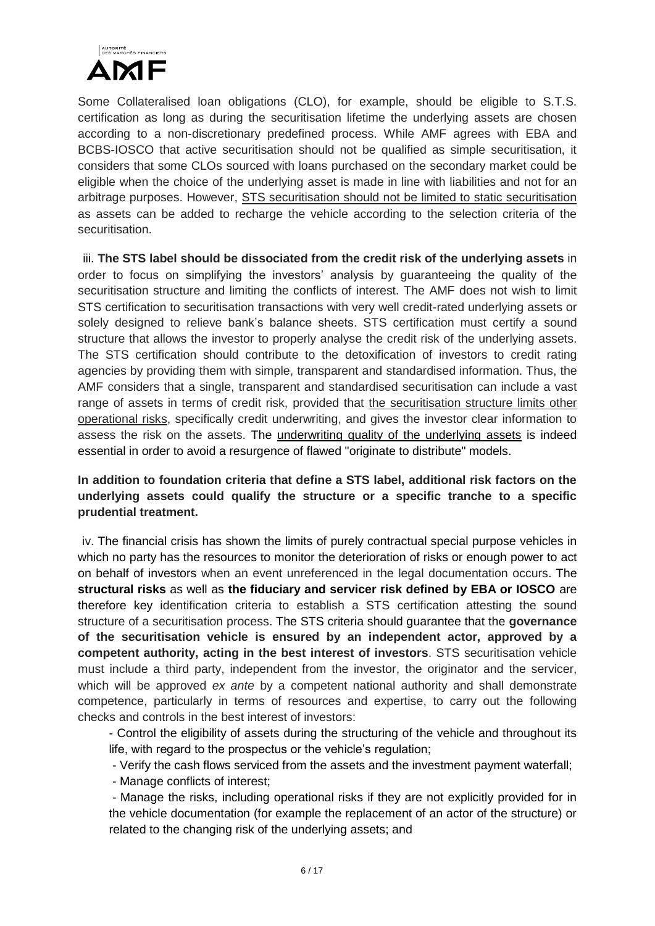

Some Collateralised loan obligations (CLO), for example, should be eligible to S.T.S. certification as long as during the securitisation lifetime the underlying assets are chosen according to a non-discretionary predefined process. While AMF agrees with EBA and BCBS-IOSCO that active securitisation should not be qualified as simple securitisation, it considers that some CLOs sourced with loans purchased on the secondary market could be eligible when the choice of the underlying asset is made in line with liabilities and not for an arbitrage purposes. However, STS securitisation should not be limited to static securitisation as assets can be added to recharge the vehicle according to the selection criteria of the securitisation.

iii. **The STS label should be dissociated from the credit risk of the underlying assets** in order to focus on simplifying the investors' analysis by guaranteeing the quality of the securitisation structure and limiting the conflicts of interest. The AMF does not wish to limit STS certification to securitisation transactions with very well credit-rated underlying assets or solely designed to relieve bank's balance sheets. STS certification must certify a sound structure that allows the investor to properly analyse the credit risk of the underlying assets. The STS certification should contribute to the detoxification of investors to credit rating agencies by providing them with simple, transparent and standardised information. Thus, the AMF considers that a single, transparent and standardised securitisation can include a vast range of assets in terms of credit risk, provided that the securitisation structure limits other operational risks, specifically credit underwriting, and gives the investor clear information to assess the risk on the assets. The underwriting quality of the underlying assets is indeed essential in order to avoid a resurgence of flawed "originate to distribute" models.

**In addition to foundation criteria that define a STS label, additional risk factors on the underlying assets could qualify the structure or a specific tranche to a specific prudential treatment.** 

iv. The financial crisis has shown the limits of purely contractual special purpose vehicles in which no party has the resources to monitor the deterioration of risks or enough power to act on behalf of investors when an event unreferenced in the legal documentation occurs. The **structural risks** as well as **the fiduciary and servicer risk defined by EBA or IOSCO** are therefore key identification criteria to establish a STS certification attesting the sound structure of a securitisation process. The STS criteria should guarantee that the **governance of the securitisation vehicle is ensured by an independent actor, approved by a competent authority, acting in the best interest of investors**. STS securitisation vehicle must include a third party, independent from the investor, the originator and the servicer, which will be approved *ex ante* by a competent national authority and shall demonstrate competence, particularly in terms of resources and expertise, to carry out the following checks and controls in the best interest of investors:

- Control the eligibility of assets during the structuring of the vehicle and throughout its life, with regard to the prospectus or the vehicle's regulation;

- Verify the cash flows serviced from the assets and the investment payment waterfall;

- Manage conflicts of interest;

- Manage the risks, including operational risks if they are not explicitly provided for in the vehicle documentation (for example the replacement of an actor of the structure) or related to the changing risk of the underlying assets; and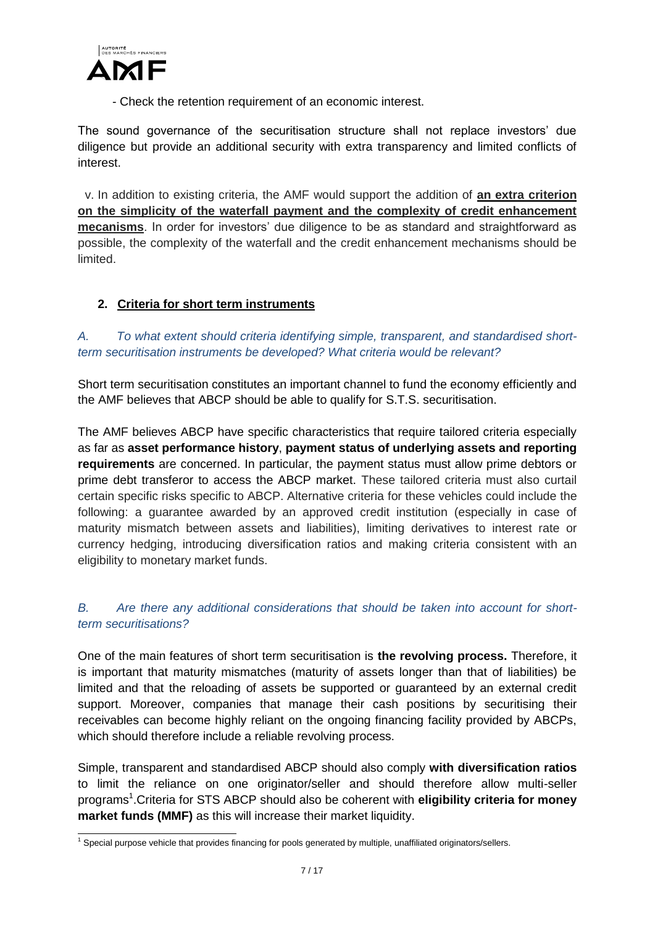

- Check the retention requirement of an economic interest.

The sound governance of the securitisation structure shall not replace investors' due diligence but provide an additional security with extra transparency and limited conflicts of interest.

v. In addition to existing criteria, the AMF would support the addition of **an extra criterion on the simplicity of the waterfall payment and the complexity of credit enhancement mecanisms**. In order for investors' due diligence to be as standard and straightforward as possible, the complexity of the waterfall and the credit enhancement mechanisms should be limited.

## **2. Criteria for short term instruments**

*A. To what extent should criteria identifying simple, transparent, and standardised shortterm securitisation instruments be developed? What criteria would be relevant?*

Short term securitisation constitutes an important channel to fund the economy efficiently and the AMF believes that ABCP should be able to qualify for S.T.S. securitisation.

The AMF believes ABCP have specific characteristics that require tailored criteria especially as far as **asset performance history**, **payment status of underlying assets and reporting requirements** are concerned. In particular, the payment status must allow prime debtors or prime debt transferor to access the ABCP market. These tailored criteria must also curtail certain specific risks specific to ABCP. Alternative criteria for these vehicles could include the following: a guarantee awarded by an approved credit institution (especially in case of maturity mismatch between assets and liabilities), limiting derivatives to interest rate or currency hedging, introducing diversification ratios and making criteria consistent with an eligibility to monetary market funds.

### *B. Are there any additional considerations that should be taken into account for shortterm securitisations?*

One of the main features of short term securitisation is **the revolving process.** Therefore, it is important that maturity mismatches (maturity of assets longer than that of liabilities) be limited and that the reloading of assets be supported or guaranteed by an external credit support. Moreover, companies that manage their cash positions by securitising their receivables can become highly reliant on the ongoing financing facility provided by ABCPs, which should therefore include a reliable revolving process.

Simple, transparent and standardised ABCP should also comply **with diversification ratios** to limit the reliance on one originator/seller and should therefore allow multi-seller programs<sup>1</sup>. Criteria for STS ABCP should also be coherent with **eligibility criteria for money market funds (MMF)** as this will increase their market liquidity.

<sup>-</sup><sup>1</sup> Special purpose vehicle that provides financing for pools generated by multiple, unaffiliated originators/sellers.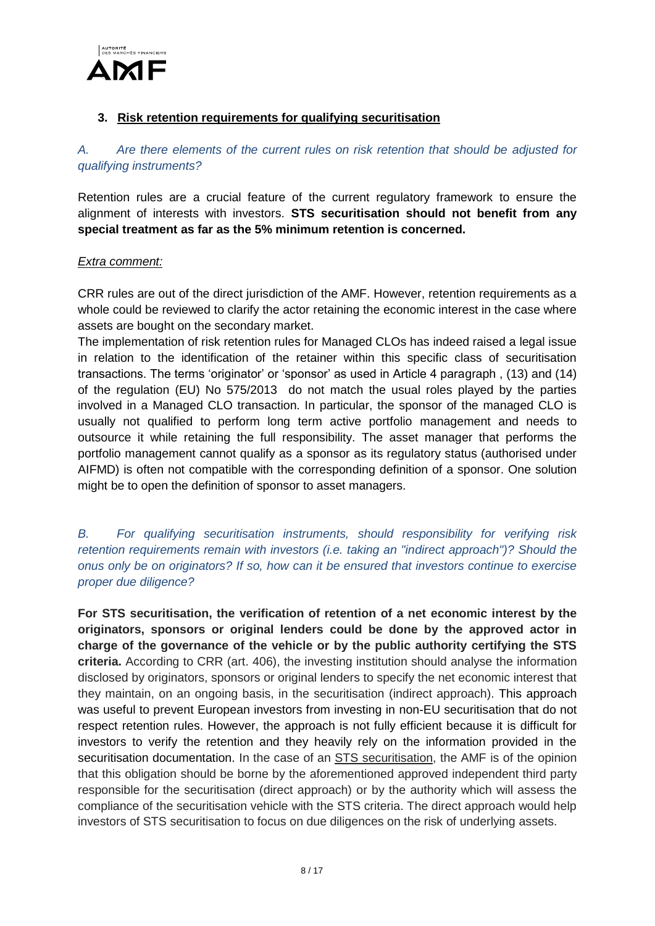

#### **3. Risk retention requirements for qualifying securitisation**

## *A. Are there elements of the current rules on risk retention that should be adjusted for qualifying instruments?*

Retention rules are a crucial feature of the current regulatory framework to ensure the alignment of interests with investors. **STS securitisation should not benefit from any special treatment as far as the 5% minimum retention is concerned.**

#### *Extra comment:*

CRR rules are out of the direct jurisdiction of the AMF. However, retention requirements as a whole could be reviewed to clarify the actor retaining the economic interest in the case where assets are bought on the secondary market.

The implementation of risk retention rules for Managed CLOs has indeed raised a legal issue in relation to the identification of the retainer within this specific class of securitisation transactions. The terms 'originator' or 'sponsor' as used in Article 4 paragraph , (13) and (14) of the regulation (EU) No 575/2013 do not match the usual roles played by the parties involved in a Managed CLO transaction. In particular, the sponsor of the managed CLO is usually not qualified to perform long term active portfolio management and needs to outsource it while retaining the full responsibility. The asset manager that performs the portfolio management cannot qualify as a sponsor as its regulatory status (authorised under AIFMD) is often not compatible with the corresponding definition of a sponsor. One solution might be to open the definition of sponsor to asset managers.

*B. For qualifying securitisation instruments, should responsibility for verifying risk retention requirements remain with investors (i.e. taking an "indirect approach")? Should the onus only be on originators? If so, how can it be ensured that investors continue to exercise proper due diligence?*

**For STS securitisation, the verification of retention of a net economic interest by the originators, sponsors or original lenders could be done by the approved actor in charge of the governance of the vehicle or by the public authority certifying the STS criteria.** According to CRR (art. 406), the investing institution should analyse the information disclosed by originators, sponsors or original lenders to specify the net economic interest that they maintain, on an ongoing basis, in the securitisation (indirect approach). This approach was useful to prevent European investors from investing in non-EU securitisation that do not respect retention rules. However, the approach is not fully efficient because it is difficult for investors to verify the retention and they heavily rely on the information provided in the securitisation documentation. In the case of an **STS** securitisation, the AMF is of the opinion that this obligation should be borne by the aforementioned approved independent third party responsible for the securitisation (direct approach) or by the authority which will assess the compliance of the securitisation vehicle with the STS criteria. The direct approach would help investors of STS securitisation to focus on due diligences on the risk of underlying assets.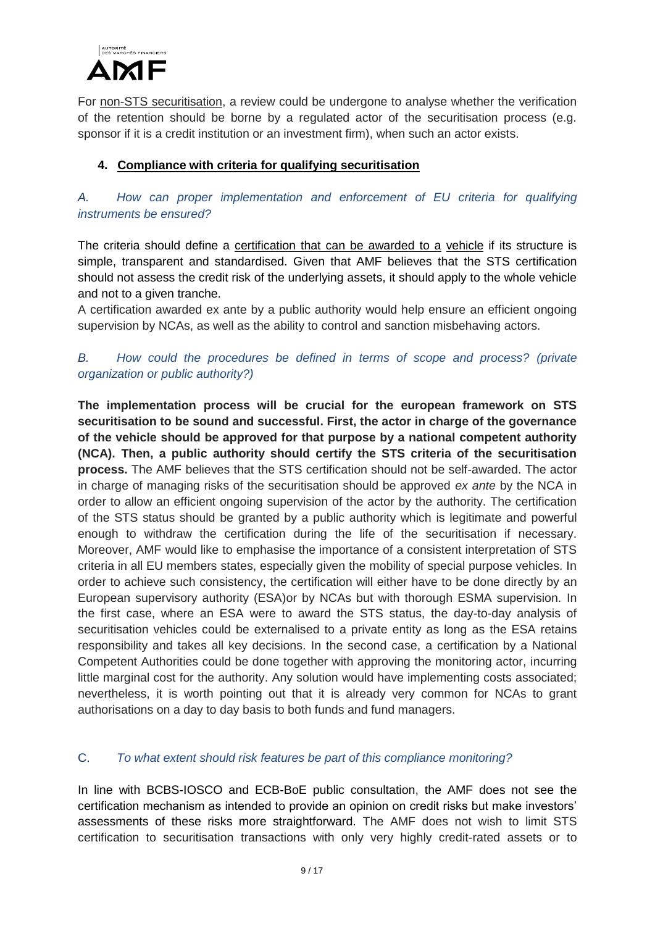

For non-STS securitisation, a review could be undergone to analyse whether the verification of the retention should be borne by a regulated actor of the securitisation process (e.g. sponsor if it is a credit institution or an investment firm), when such an actor exists.

### **4. Compliance with criteria for qualifying securitisation**

*A. How can proper implementation and enforcement of EU criteria for qualifying instruments be ensured?*

The criteria should define a certification that can be awarded to a vehicle if its structure is simple, transparent and standardised. Given that AMF believes that the STS certification should not assess the credit risk of the underlying assets, it should apply to the whole vehicle and not to a given tranche.

A certification awarded ex ante by a public authority would help ensure an efficient ongoing supervision by NCAs, as well as the ability to control and sanction misbehaving actors.

#### *B. How could the procedures be defined in terms of scope and process? (private organization or public authority?)*

**The implementation process will be crucial for the european framework on STS securitisation to be sound and successful. First, the actor in charge of the governance of the vehicle should be approved for that purpose by a national competent authority (NCA). Then, a public authority should certify the STS criteria of the securitisation process.** The AMF believes that the STS certification should not be self-awarded. The actor in charge of managing risks of the securitisation should be approved *ex ante* by the NCA in order to allow an efficient ongoing supervision of the actor by the authority. The certification of the STS status should be granted by a public authority which is legitimate and powerful enough to withdraw the certification during the life of the securitisation if necessary. Moreover, AMF would like to emphasise the importance of a consistent interpretation of STS criteria in all EU members states, especially given the mobility of special purpose vehicles. In order to achieve such consistency, the certification will either have to be done directly by an European supervisory authority (ESA)or by NCAs but with thorough ESMA supervision. In the first case, where an ESA were to award the STS status, the day-to-day analysis of securitisation vehicles could be externalised to a private entity as long as the ESA retains responsibility and takes all key decisions. In the second case, a certification by a National Competent Authorities could be done together with approving the monitoring actor, incurring little marginal cost for the authority. Any solution would have implementing costs associated; nevertheless, it is worth pointing out that it is already very common for NCAs to grant authorisations on a day to day basis to both funds and fund managers.

#### C. *To what extent should risk features be part of this compliance monitoring?*

In line with BCBS-IOSCO and ECB-BoE public consultation, the AMF does not see the certification mechanism as intended to provide an opinion on credit risks but make investors' assessments of these risks more straightforward. The AMF does not wish to limit STS certification to securitisation transactions with only very highly credit-rated assets or to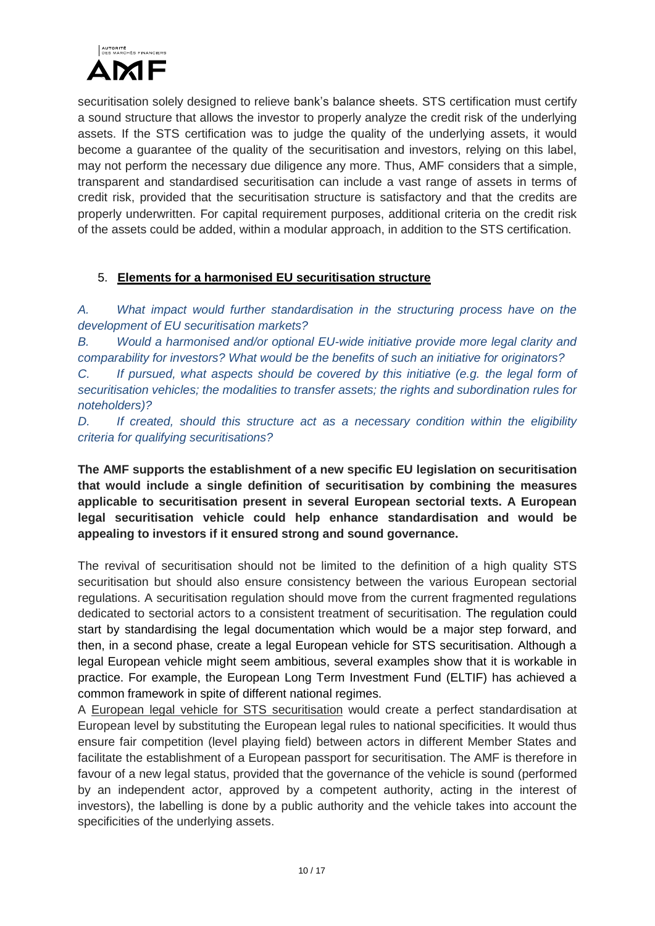

securitisation solely designed to relieve bank's balance sheets. STS certification must certify a sound structure that allows the investor to properly analyze the credit risk of the underlying assets. If the STS certification was to judge the quality of the underlying assets, it would become a guarantee of the quality of the securitisation and investors, relying on this label, may not perform the necessary due diligence any more. Thus, AMF considers that a simple, transparent and standardised securitisation can include a vast range of assets in terms of credit risk, provided that the securitisation structure is satisfactory and that the credits are properly underwritten. For capital requirement purposes, additional criteria on the credit risk of the assets could be added, within a modular approach, in addition to the STS certification.

### 5. **Elements for a harmonised EU securitisation structure**

*A. What impact would further standardisation in the structuring process have on the development of EU securitisation markets?*

*B. Would a harmonised and/or optional EU-wide initiative provide more legal clarity and comparability for investors? What would be the benefits of such an initiative for originators?*

*C. If pursued, what aspects should be covered by this initiative (e.g. the legal form of securitisation vehicles; the modalities to transfer assets; the rights and subordination rules for noteholders)?*

*D. If created, should this structure act as a necessary condition within the eligibility criteria for qualifying securitisations?*

**The AMF supports the establishment of a new specific EU legislation on securitisation that would include a single definition of securitisation by combining the measures applicable to securitisation present in several European sectorial texts. A European legal securitisation vehicle could help enhance standardisation and would be appealing to investors if it ensured strong and sound governance.**

The revival of securitisation should not be limited to the definition of a high quality STS securitisation but should also ensure consistency between the various European sectorial regulations. A securitisation regulation should move from the current fragmented regulations dedicated to sectorial actors to a consistent treatment of securitisation. The regulation could start by standardising the legal documentation which would be a major step forward, and then, in a second phase, create a legal European vehicle for STS securitisation. Although a legal European vehicle might seem ambitious, several examples show that it is workable in practice. For example, the European Long Term Investment Fund (ELTIF) has achieved a common framework in spite of different national regimes.

A European legal vehicle for STS securitisation would create a perfect standardisation at European level by substituting the European legal rules to national specificities. It would thus ensure fair competition (level playing field) between actors in different Member States and facilitate the establishment of a European passport for securitisation. The AMF is therefore in favour of a new legal status, provided that the governance of the vehicle is sound (performed by an independent actor, approved by a competent authority, acting in the interest of investors), the labelling is done by a public authority and the vehicle takes into account the specificities of the underlying assets.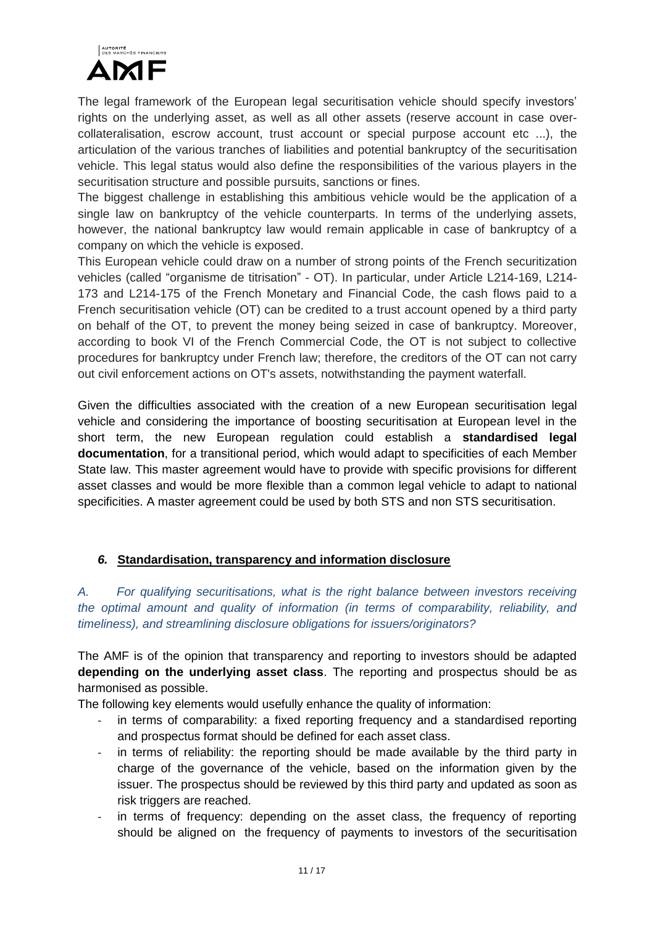

The legal framework of the European legal securitisation vehicle should specify investors' rights on the underlying asset, as well as all other assets (reserve account in case overcollateralisation, escrow account, trust account or special purpose account etc ...), the articulation of the various tranches of liabilities and potential bankruptcy of the securitisation vehicle. This legal status would also define the responsibilities of the various players in the securitisation structure and possible pursuits, sanctions or fines.

The biggest challenge in establishing this ambitious vehicle would be the application of a single law on bankruptcy of the vehicle counterparts. In terms of the underlying assets, however, the national bankruptcy law would remain applicable in case of bankruptcy of a company on which the vehicle is exposed.

This European vehicle could draw on a number of strong points of the French securitization vehicles (called "organisme de titrisation" - OT). In particular, under Article L214-169, L214- 173 and L214-175 of the French Monetary and Financial Code, the cash flows paid to a French securitisation vehicle (OT) can be credited to a trust account opened by a third party on behalf of the OT, to prevent the money being seized in case of bankruptcy. Moreover, according to book VI of the French Commercial Code, the OT is not subject to collective procedures for bankruptcy under French law; therefore, the creditors of the OT can not carry out civil enforcement actions on OT's assets, notwithstanding the payment waterfall.

Given the difficulties associated with the creation of a new European securitisation legal vehicle and considering the importance of boosting securitisation at European level in the short term, the new European regulation could establish a **standardised legal documentation**, for a transitional period, which would adapt to specificities of each Member State law. This master agreement would have to provide with specific provisions for different asset classes and would be more flexible than a common legal vehicle to adapt to national specificities. A master agreement could be used by both STS and non STS securitisation.

### *6.* **Standardisation, transparency and information disclosure**

*A. For qualifying securitisations, what is the right balance between investors receiving the optimal amount and quality of information (in terms of comparability, reliability, and timeliness), and streamlining disclosure obligations for issuers/originators?*

The AMF is of the opinion that transparency and reporting to investors should be adapted **depending on the underlying asset class**. The reporting and prospectus should be as harmonised as possible.

The following key elements would usefully enhance the quality of information:

- in terms of comparability: a fixed reporting frequency and a standardised reporting and prospectus format should be defined for each asset class.
- in terms of reliability: the reporting should be made available by the third party in charge of the governance of the vehicle, based on the information given by the issuer. The prospectus should be reviewed by this third party and updated as soon as risk triggers are reached.
- in terms of frequency: depending on the asset class, the frequency of reporting should be aligned on the frequency of payments to investors of the securitisation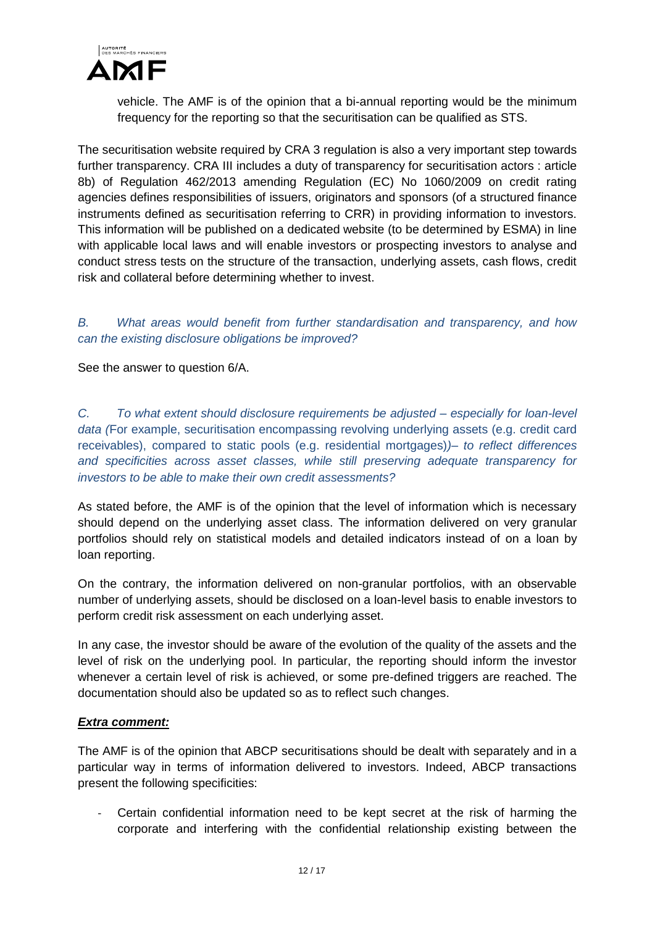

vehicle. The AMF is of the opinion that a bi-annual reporting would be the minimum frequency for the reporting so that the securitisation can be qualified as STS.

The securitisation website required by CRA 3 regulation is also a very important step towards further transparency. CRA III includes a duty of transparency for securitisation actors : article 8b) of Regulation 462/2013 amending Regulation (EC) No 1060/2009 on credit rating agencies defines responsibilities of issuers, originators and sponsors (of a structured finance instruments defined as securitisation referring to CRR) in providing information to investors. This information will be published on a dedicated website (to be determined by ESMA) in line with applicable local laws and will enable investors or prospecting investors to analyse and conduct stress tests on the structure of the transaction, underlying assets, cash flows, credit risk and collateral before determining whether to invest.

*B. What areas would benefit from further standardisation and transparency, and how can the existing disclosure obligations be improved?* 

See the answer to question 6/A.

*C. To what extent should disclosure requirements be adjusted – especially for loan-level data (*For example, securitisation encompassing revolving underlying assets (e.g. credit card receivables), compared to static pools (e.g. residential mortgages)*)– to reflect differences and specificities across asset classes, while still preserving adequate transparency for investors to be able to make their own credit assessments?*

As stated before, the AMF is of the opinion that the level of information which is necessary should depend on the underlying asset class. The information delivered on very granular portfolios should rely on statistical models and detailed indicators instead of on a loan by loan reporting.

On the contrary, the information delivered on non-granular portfolios, with an observable number of underlying assets, should be disclosed on a loan-level basis to enable investors to perform credit risk assessment on each underlying asset.

In any case, the investor should be aware of the evolution of the quality of the assets and the level of risk on the underlying pool. In particular, the reporting should inform the investor whenever a certain level of risk is achieved, or some pre-defined triggers are reached. The documentation should also be updated so as to reflect such changes.

#### *Extra comment:*

The AMF is of the opinion that ABCP securitisations should be dealt with separately and in a particular way in terms of information delivered to investors. Indeed, ABCP transactions present the following specificities:

Certain confidential information need to be kept secret at the risk of harming the corporate and interfering with the confidential relationship existing between the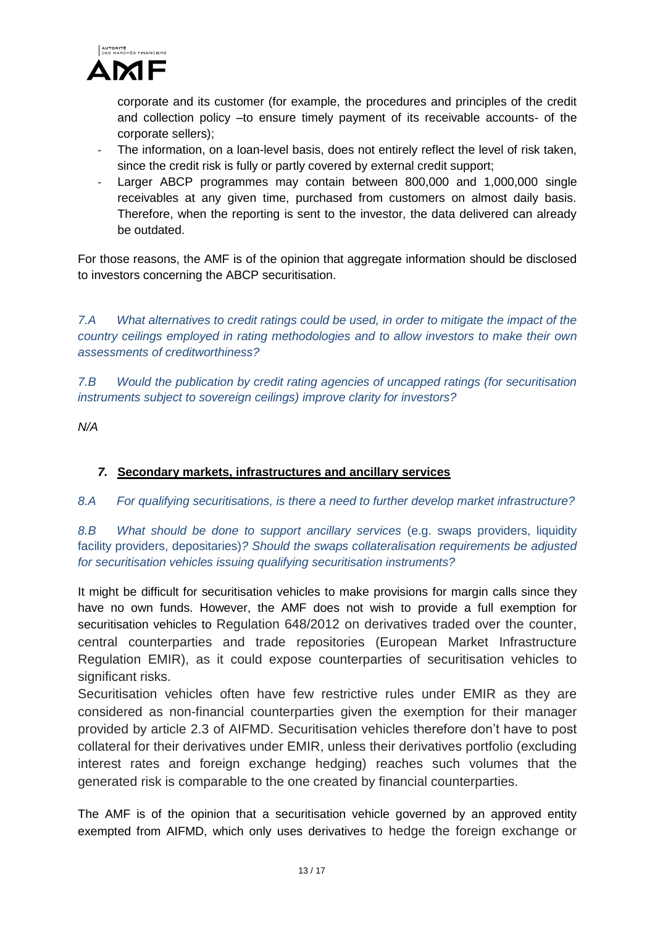

corporate and its customer (for example, the procedures and principles of the credit and collection policy –to ensure timely payment of its receivable accounts- of the corporate sellers);

- The information, on a loan-level basis, does not entirely reflect the level of risk taken, since the credit risk is fully or partly covered by external credit support;
- Larger ABCP programmes may contain between 800,000 and 1,000,000 single receivables at any given time, purchased from customers on almost daily basis. Therefore, when the reporting is sent to the investor, the data delivered can already be outdated.

For those reasons, the AMF is of the opinion that aggregate information should be disclosed to investors concerning the ABCP securitisation.

*7.A What alternatives to credit ratings could be used, in order to mitigate the impact of the country ceilings employed in rating methodologies and to allow investors to make their own assessments of creditworthiness?*

*7.B Would the publication by credit rating agencies of uncapped ratings (for securitisation instruments subject to sovereign ceilings) improve clarity for investors?*

*N/A*

### *7.* **Secondary markets, infrastructures and ancillary services**

*8.A For qualifying securitisations, is there a need to further develop market infrastructure?* 

*8.B What should be done to support ancillary services* (e.g. swaps providers, liquidity facility providers, depositaries)*? Should the swaps collateralisation requirements be adjusted for securitisation vehicles issuing qualifying securitisation instruments?*

It might be difficult for securitisation vehicles to make provisions for margin calls since they have no own funds. However, the AMF does not wish to provide a full exemption for securitisation vehicles to Regulation 648/2012 on derivatives traded over the counter, central counterparties and trade repositories (European Market Infrastructure Regulation EMIR), as it could expose counterparties of securitisation vehicles to significant risks.

Securitisation vehicles often have few restrictive rules under EMIR as they are considered as non-financial counterparties given the exemption for their manager provided by article 2.3 of AIFMD. Securitisation vehicles therefore don't have to post collateral for their derivatives under EMIR, unless their derivatives portfolio (excluding interest rates and foreign exchange hedging) reaches such volumes that the generated risk is comparable to the one created by financial counterparties.

The AMF is of the opinion that a securitisation vehicle governed by an approved entity exempted from AIFMD, which only uses derivatives to hedge the foreign exchange or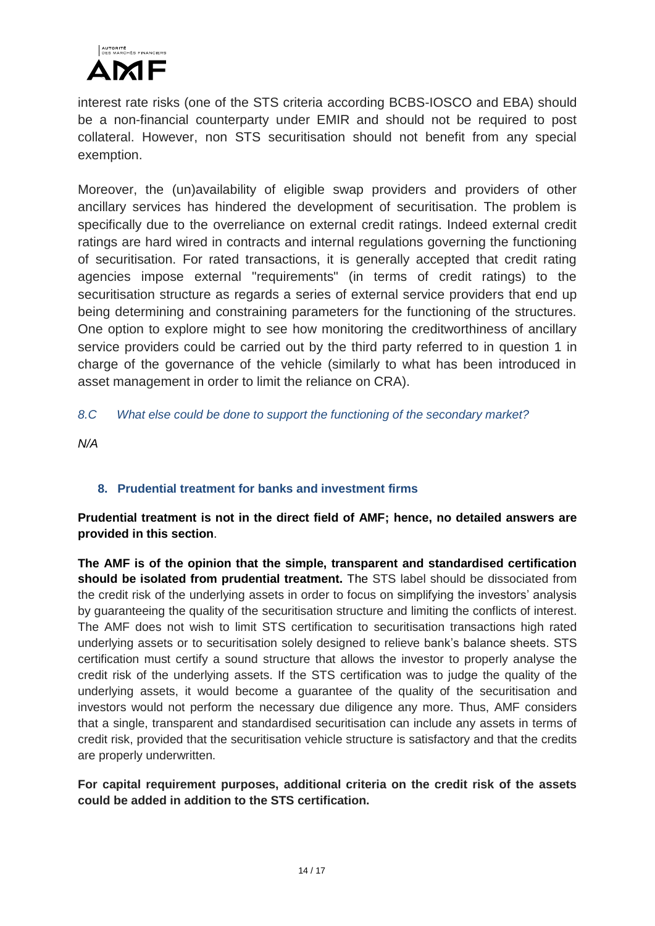

interest rate risks (one of the STS criteria according BCBS-IOSCO and EBA) should be a non-financial counterparty under EMIR and should not be required to post collateral. However, non STS securitisation should not benefit from any special exemption.

Moreover, the (un)availability of eligible swap providers and providers of other ancillary services has hindered the development of securitisation. The problem is specifically due to the overreliance on external credit ratings. Indeed external credit ratings are hard wired in contracts and internal regulations governing the functioning of securitisation. For rated transactions, it is generally accepted that credit rating agencies impose external "requirements" (in terms of credit ratings) to the securitisation structure as regards a series of external service providers that end up being determining and constraining parameters for the functioning of the structures. One option to explore might to see how monitoring the creditworthiness of ancillary service providers could be carried out by the third party referred to in question 1 in charge of the governance of the vehicle (similarly to what has been introduced in asset management in order to limit the reliance on CRA).

### *8.C What else could be done to support the functioning of the secondary market?*

*N/A*

## **8. Prudential treatment for banks and investment firms**

## **Prudential treatment is not in the direct field of AMF; hence, no detailed answers are provided in this section**.

**The AMF is of the opinion that the simple, transparent and standardised certification should be isolated from prudential treatment.** The STS label should be dissociated from the credit risk of the underlying assets in order to focus on simplifying the investors' analysis by guaranteeing the quality of the securitisation structure and limiting the conflicts of interest. The AMF does not wish to limit STS certification to securitisation transactions high rated underlying assets or to securitisation solely designed to relieve bank's balance sheets. STS certification must certify a sound structure that allows the investor to properly analyse the credit risk of the underlying assets. If the STS certification was to judge the quality of the underlying assets, it would become a guarantee of the quality of the securitisation and investors would not perform the necessary due diligence any more. Thus, AMF considers that a single, transparent and standardised securitisation can include any assets in terms of credit risk, provided that the securitisation vehicle structure is satisfactory and that the credits are properly underwritten.

### **For capital requirement purposes, additional criteria on the credit risk of the assets could be added in addition to the STS certification.**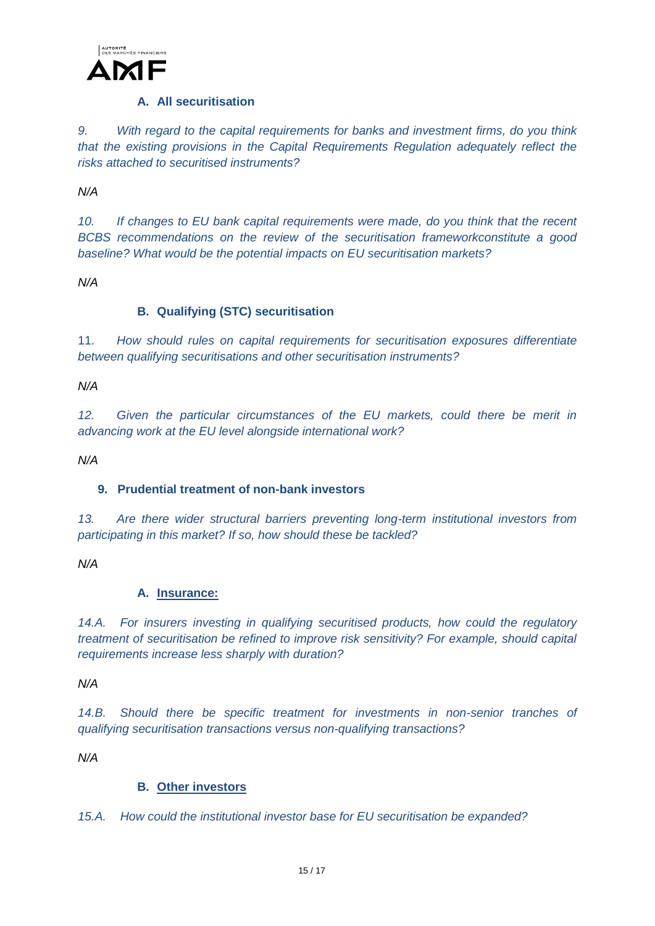

#### **A. All securitisation**

*9. With regard to the capital requirements for banks and investment firms, do you think that the existing provisions in the Capital Requirements Regulation adequately reflect the risks attached to securitised instruments?*

*N/A*

*10. If changes to EU bank capital requirements were made, do you think that the recent BCBS recommendations on the review of the securitisation frameworkconstitute a good baseline? What would be the potential impacts on EU securitisation markets?*

*N/A*

### **B. Qualifying (STC) securitisation**

11. *How should rules on capital requirements for securitisation exposures differentiate between qualifying securitisations and other securitisation instruments?* 

*N/A*

*12. Given the particular circumstances of the EU markets, could there be merit in advancing work at the EU level alongside international work?*

*N/A*

### **9. Prudential treatment of non-bank investors**

*13. Are there wider structural barriers preventing long-term institutional investors from participating in this market? If so, how should these be tackled?*

*N/A*

### **A. Insurance:**

*14.A. For insurers investing in qualifying securitised products, how could the regulatory treatment of securitisation be refined to improve risk sensitivity? For example, should capital requirements increase less sharply with duration?* 

*N/A*

*14.B. Should there be specific treatment for investments in non-senior tranches of qualifying securitisation transactions versus non-qualifying transactions?*

*N/A*

### **B. Other investors**

*15.A. How could the institutional investor base for EU securitisation be expanded?*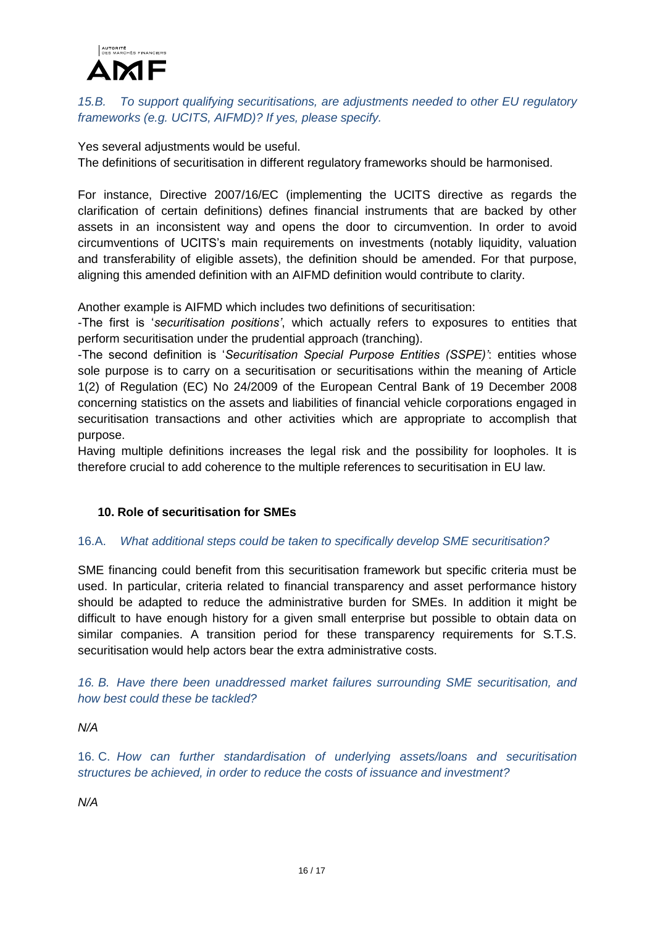

### *15.B. To support qualifying securitisations, are adjustments needed to other EU regulatory frameworks (e.g. UCITS, AIFMD)? If yes, please specify.*

Yes several adjustments would be useful.

The definitions of securitisation in different regulatory frameworks should be harmonised.

For instance, Directive 2007/16/EC (implementing the UCITS directive as regards the clarification of certain definitions) defines financial instruments that are backed by other assets in an inconsistent way and opens the door to circumvention. In order to avoid circumventions of UCITS's main requirements on investments (notably liquidity, valuation and transferability of eligible assets), the definition should be amended. For that purpose, aligning this amended definition with an AIFMD definition would contribute to clarity.

Another example is AIFMD which includes two definitions of securitisation:

-The first is '*securitisation positions'*, which actually refers to exposures to entities that perform securitisation under the prudential approach (tranching).

-The second definition is '*Securitisation Special Purpose Entities (SSPE)'*: entities whose sole purpose is to carry on a securitisation or securitisations within the meaning of Article 1(2) of Regulation (EC) No 24/2009 of the European Central Bank of 19 December 2008 concerning statistics on the assets and liabilities of financial vehicle corporations engaged in securitisation transactions and other activities which are appropriate to accomplish that purpose.

Having multiple definitions increases the legal risk and the possibility for loopholes. It is therefore crucial to add coherence to the multiple references to securitisation in EU law.

#### **10. Role of securitisation for SMEs**

#### 16.A. *What additional steps could be taken to specifically develop SME securitisation?*

SME financing could benefit from this securitisation framework but specific criteria must be used. In particular, criteria related to financial transparency and asset performance history should be adapted to reduce the administrative burden for SMEs. In addition it might be difficult to have enough history for a given small enterprise but possible to obtain data on similar companies. A transition period for these transparency requirements for S.T.S. securitisation would help actors bear the extra administrative costs.

*16. B. Have there been unaddressed market failures surrounding SME securitisation, and how best could these be tackled?*

*N/A*

16. C. *How can further standardisation of underlying assets/loans and securitisation structures be achieved, in order to reduce the costs of issuance and investment?*

*N/A*